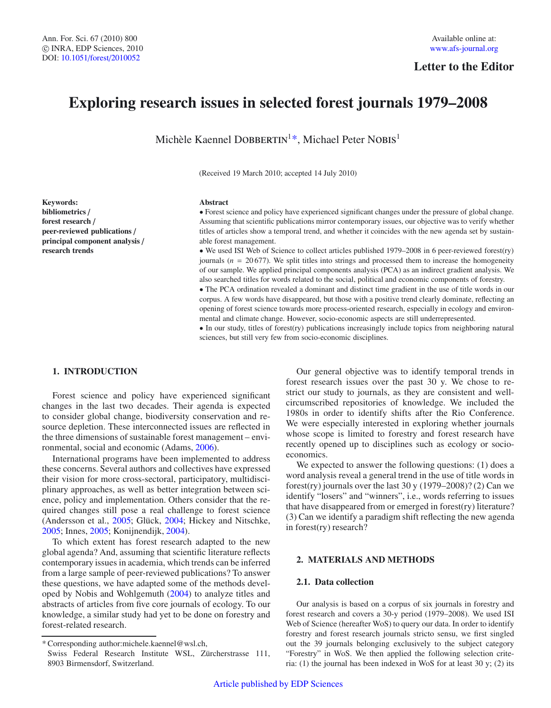# **Letter to the Editor**

# **Exploring research issues in selected forest journals 1979–2008**

Michèle Kaennel DOBBERTIN<sup>1\*</sup>, Michael Peter NOBIS<sup>1</sup>

(Received 19 March 2010; accepted 14 July 2010)

# **Keywords: bibliometrics** / **forest research** / **peer-reviewed publications** / **principal component analysis** / **research trends**

#### **Abstract**

• Forest science and policy have experienced significant changes under the pressure of global change. Assuming that scientific publications mirror contemporary issues, our objective was to verify whether titles of articles show a temporal trend, and whether it coincides with the new agenda set by sustainable forest management.

• We used ISI Web of Science to collect articles published 1979–2008 in 6 peer-reviewed forest(ry) journals ( $n = 20677$ ). We split titles into strings and processed them to increase the homogeneity of our sample. We applied principal components analysis (PCA) as an indirect gradient analysis. We also searched titles for words related to the social, political and economic components of forestry.

• The PCA ordination revealed a dominant and distinct time gradient in the use of title words in our corpus. A few words have disappeared, but those with a positive trend clearly dominate, reflecting an opening of forest science towards more process-oriented research, especially in ecology and environmental and climate change. However, socio-economic aspects are still underrepresented.

• In our study, titles of forest(ry) publications increasingly include topics from neighboring natural sciences, but still very few from socio-economic disciplines.

# **1. INTRODUCTION**

Forest science and policy have experienced significant changes in the last two decades. Their agenda is expected to consider global change, biodiversity conservation and resource depletion. These interconnected issues are reflected in the three dimensions of sustainable forest management – environmental, social and economic (Adams, [2006](#page-5-0)).

International programs have been implemented to address these concerns. Several authors and collectives have expressed their vision for more cross-sectoral, participatory, multidisciplinary approaches, as well as better integration between science, policy and implementation. Others consider that the required changes still pose a real challenge to forest science (Andersson et al., [2005;](#page-5-1) Glück, [2004;](#page-5-2) Hickey and Nitschke, [2005;](#page-5-3) Innes, [2005](#page-5-4); Konijnendijk, [2004\)](#page-6-0).

To which extent has forest research adapted to the new global agenda? And, assuming that scientific literature reflects contemporary issues in academia, which trends can be inferred from a large sample of peer-reviewed publications? To answer these questions, we have adapted some of the methods developed by Nobis and Wohlgemuth [\(2004\)](#page-6-1) to analyze titles and abstracts of articles from five core journals of ecology. To our knowledge, a similar study had yet to be done on forestry and forest-related research.

Our general objective was to identify temporal trends in forest research issues over the past 30 y. We chose to restrict our study to journals, as they are consistent and wellcircumscribed repositories of knowledge. We included the 1980s in order to identify shifts after the Rio Conference. We were especially interested in exploring whether journals whose scope is limited to forestry and forest research have recently opened up to disciplines such as ecology or socioeconomics.

We expected to answer the following questions: (1) does a word analysis reveal a general trend in the use of title words in forest(ry) journals over the last 30 y  $(1979-2008)$ ? (2) Can we identify "losers" and "winners", i.e., words referring to issues that have disappeared from or emerged in forest(ry) literature? (3) Can we identify a paradigm shift reflecting the new agenda in forest(ry) research?

# **2. MATERIALS AND METHODS**

#### **2.1. Data collection**

Our analysis is based on a corpus of six journals in forestry and forest research and covers a 30-y period (1979–2008). We used ISI Web of Science (hereafter WoS) to query our data. In order to identify forestry and forest research journals stricto sensu, we first singled out the 39 journals belonging exclusively to the subject category "Forestry" in WoS. We then applied the following selection criteria: (1) the journal has been indexed in WoS for at least 30 y; (2) its

<sup>\*</sup> Corresponding author:michele.kaennel@wsl.ch,

Swiss Federal Research Institute WSL, Zürcherstrasse 111, 8903 Birmensdorf, Switzerland.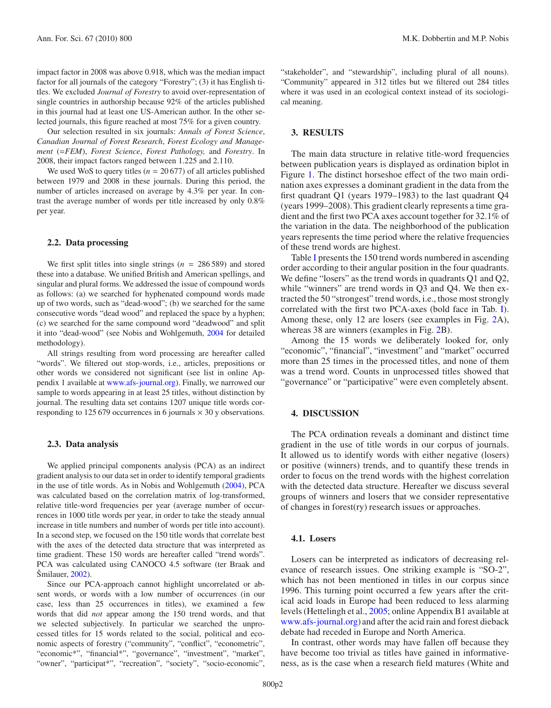impact factor in 2008 was above 0.918, which was the median impact factor for all journals of the category "Forestry"; (3) it has English titles. We excluded *Journal of Forestry* to avoid over-representation of single countries in authorship because 92% of the articles published in this journal had at least one US-American author. In the other selected journals, this figure reached at most 75% for a given country.

Our selection resulted in six journals: *Annals of Forest Science*, *Canadian Journal of Forest Research*, *Forest Ecology and Management* (=*FEM*), *Forest Science*, *Forest Pathology,* and *Forestry*. In 2008, their impact factors ranged between 1.225 and 2.110.

We used WoS to query titles ( $n = 20677$ ) of all articles published between 1979 and 2008 in these journals. During this period, the number of articles increased on average by 4.3% per year. In contrast the average number of words per title increased by only 0.8% per year.

#### **2.2. Data processing**

We first split titles into single strings  $(n = 286589)$  and stored these into a database. We unified British and American spellings, and singular and plural forms. We addressed the issue of compound words as follows: (a) we searched for hyphenated compound words made up of two words, such as "dead-wood"; (b) we searched for the same consecutive words "dead wood" and replaced the space by a hyphen; (c) we searched for the same compound word "deadwood" and split it into "dead-wood" (see Nobis and Wohlgemuth, [2004](#page-6-1) for detailed methodology).

All strings resulting from word processing are hereafter called "words". We filtered out stop-words, i.e., articles, prepositions or other words we considered not significant (see list in online Appendix 1 available at [www.afs-journal.org\)](www.afs-journal.org). Finally, we narrowed our sample to words appearing in at least 25 titles, without distinction by journal. The resulting data set contains 1207 unique title words corresponding to 125 679 occurrences in 6 journals  $\times$  30 y observations.

#### **2.3. Data analysis**

We applied principal components analysis (PCA) as an indirect gradient analysis to our data set in order to identify temporal gradients in the use of title words. As in Nobis and Wohlgemuth [\(2004](#page-6-1)), PCA was calculated based on the correlation matrix of log-transformed, relative title-word frequencies per year (average number of occurrences in 1000 title words per year, in order to take the steady annual increase in title numbers and number of words per title into account). In a second step, we focused on the 150 title words that correlate best with the axes of the detected data structure that was interpreted as time gradient. These 150 words are hereafter called "trend words". PCA was calculated using CANOCO 4.5 software (ter Braak and Šmilauer, [2002](#page-6-2)).

Since our PCA-approach cannot highlight uncorrelated or absent words, or words with a low number of occurrences (in our case, less than 25 occurrences in titles), we examined a few words that did *not* appear among the 150 trend words, and that we selected subjectively. In particular we searched the unprocessed titles for 15 words related to the social, political and economic aspects of forestry ("community", "conflict", "econometric", "economic\*", "financial\*", "governance", "investment", "market", "owner", "participat\*", "recreation", "society", "socio-economic",

"stakeholder", and "stewardship", including plural of all nouns). "Community" appeared in 312 titles but we filtered out 284 titles where it was used in an ecological context instead of its sociological meaning.

#### **3. RESULTS**

The main data structure in relative title-word frequencies between publication years is displayed as ordination biplot in Figure [1.](#page-2-0) The distinct horseshoe effect of the two main ordination axes expresses a dominant gradient in the data from the first quadrant Q1 (years 1979–1983) to the last quadrant Q4 (years 1999–2008). This gradient clearly represents a time gradient and the first two PCA axes account together for 32.1% of the variation in the data. The neighborhood of the publication years represents the time period where the relative frequencies of these trend words are highest.

Table [I](#page-2-1) presents the 150 trend words numbered in ascending order according to their angular position in the four quadrants. We define "losers" as the trend words in quadrants Q1 and Q2, while "winners" are trend words in Q3 and Q4. We then extracted the 50 "strongest" trend words, i.e., those most strongly correlated with the first two PCA-axes (bold face in Tab. [I\)](#page-2-1). Among these, only 12 are losers (see examples in Fig. [2A](#page-3-0)), whereas 38 are winners (examples in Fig. [2B](#page-3-0)).

Among the 15 words we deliberately looked for, only "economic", "financial", "investment" and "market" occurred more than 25 times in the processed titles, and none of them was a trend word. Counts in unprocessed titles showed that "governance" or "participative" were even completely absent.

#### **4. DISCUSSION**

The PCA ordination reveals a dominant and distinct time gradient in the use of title words in our corpus of journals. It allowed us to identify words with either negative (losers) or positive (winners) trends, and to quantify these trends in order to focus on the trend words with the highest correlation with the detected data structure. Hereafter we discuss several groups of winners and losers that we consider representative of changes in forest(ry) research issues or approaches.

# **4.1. Losers**

Losers can be interpreted as indicators of decreasing relevance of research issues. One striking example is "SO-2", which has not been mentioned in titles in our corpus since 1996. This turning point occurred a few years after the critical acid loads in Europe had been reduced to less alarming levels (Hettelingh et al., [2005;](#page-5-5) online Appendix B1 available at [www.afs-journal.org\)](www.afs-journal.org) and after the acid rain and forest dieback debate had receded in Europe and North America.

In contrast, other words may have fallen off because they have become too trivial as titles have gained in informativeness, as is the case when a research field matures (White and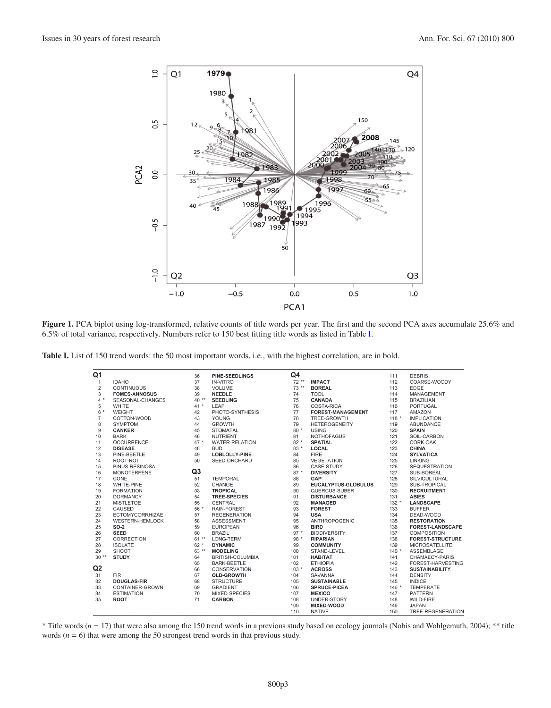

<span id="page-2-1"></span><span id="page-2-0"></span>**Figure 1.** PCA biplot using log-transformed, relative counts of title words per year. The first and the second PCA axes accumulate 25.6% and 6.5% of total variance, respectively. Numbers refer to 150 best fitting title words as listed in Table [I.](#page-2-1)

**Table I.** List of 150 trend words: the 50 most important words, i.e., with the highest correlation, are in bold.

| Q1             |                        | 36     | <b>PINE-SEEDLINGS</b> | Q4      |                          | 111     | <b>DEBRIS</b>           |
|----------------|------------------------|--------|-----------------------|---------|--------------------------|---------|-------------------------|
| $\mathbf{1}$   | <b>IDAHO</b>           | 37     | <b>IN-VITRO</b>       | $72**$  | <b>IMPACT</b>            | 112     | COARSE-WOODY            |
| $\overline{2}$ | <b>CONTINUOUS</b>      | 38     | VOLUME                | $73**$  | <b>BOREAL</b>            | 113     | <b>EDGE</b>             |
| 3              | <b>FOMES-ANNOSUS</b>   | 39     | <b>NEEDLE</b>         | 74      | <b>TOOL</b>              | 114     | MANAGEMENT              |
| $4 *$          | SEASONAL-CHANGES       | $40**$ | <b>SEEDLING</b>       | 75      | <b>CANADA</b>            | 115     | <b>BRAZILIAN</b>        |
| 5              | <b>WHITE</b>           | $41 *$ | LEAF                  | 76      | COSTA-RICA               | 116     | <b>PORTUGAL</b>         |
| 6 *            | <b>WEIGHT</b>          | 42     | PHOTO-SYNTHESIS       | 77      | <b>FOREST-MANAGEMENT</b> | 117     | AMAZON                  |
| $\overline{7}$ | COTTON-WOOD            | 43     | <b>YOUNG</b>          | 78      | TREE-GROWTH              | $118 *$ | <b>IMPLICATION</b>      |
| 8              | <b>SYMPTOM</b>         | 44     | <b>GROWTH</b>         | 79      | <b>HETEROGENEITY</b>     | 119     | ABUNDANCE               |
| $\overline{9}$ | <b>CANKER</b>          | 45     | <b>STOMATAL</b>       | $80*$   | <b>USING</b>             | 120     | <b>SPAIN</b>            |
| 10             | <b>BARK</b>            | 46     | <b>NUTRIENT</b>       | 81      | <b>NOTHOFAGUS</b>        | 121     | SOIL-CARBON             |
| 11             | <b>OCCURRENCE</b>      | $47 *$ | <b>WATER-RELATION</b> | $82*$   | <b>SPATIAL</b>           | 122     | CORK-OAK                |
| 12             | <b>DISEASE</b>         | 48     | <b>BUD</b>            | $83*$   | LOCAL                    | 123     | <b>CHINA</b>            |
| 13             | PINE-BEETLE            | 49     | LOBLOLLY-PINE         | 84      | <b>FIRE</b>              | 124     | <b>SYLVATICA</b>        |
| 14             | ROOT-ROT               | 50     | SEED-ORCHARD          | 85      | <b>VEGETATION</b>        | 125     | <b>LINKING</b>          |
| 15             | PINUS-RESINOSA         |        |                       | 86      | CASE-STUDY               | 126     | <b>SEQUESTRATION</b>    |
| 16             | <b>MONOTERPENE</b>     | Q3     |                       | $87 *$  | <b>DIVERSITY</b>         | 127     | SUB-BOREAL              |
| 17             | CONE                   | 51     | <b>TEMPORAL</b>       | 88      | GAP                      | 128     | SILVICULTURAL           |
| 18             | WHITE-PINE             | 52     | CHANGE                | 89      | EUCALYPTUS-GLOBULUS      | 129     | SUB-TROPICAL            |
| 19             | <b>FORMATION</b>       | 53     | <b>TROPICAL</b>       | 90      | QUERCUS-SUBER            | 130     | <b>RECRUITMENT</b>      |
| 20             | <b>DORMANCY</b>        | 54     | <b>TREE-SPECIES</b>   | 91      | <b>DISTURBANCE</b>       | 131     | <b>ABIES</b>            |
| 21             | <b>MISTLETOE</b>       | 55     | CENTRAL               | 92      | <b>MANAGED</b>           | $132 *$ | <b>LANDSCAPE</b>        |
| 22             | CAUSED                 | $56*$  | RAIN-FOREST           | 93      | <b>FOREST</b>            | 133     | <b>BUFFER</b>           |
| 23             | ECTOMYCORRHIZAE        | 57     | <b>REGENERATION</b>   | 94      | <b>USA</b>               | 134     | DEAD-WOOD               |
| 24             | <b>WESTERN-HEMLOCK</b> | 58     | <b>ASSESSMENT</b>     | 95      | ANTHROPOGENIC            | 135     | <b>RESTORATION</b>      |
| 25             | $SO-2$                 | 59     | <b>EUROPEAN</b>       | 96      | <b>BIRD</b>              | 136     | <b>FOREST-LANDSCAPE</b> |
| 26             | <b>SEED</b>            | 60     | <b>BRAZIL</b>         | $97 *$  | <b>BIODIVERSITY</b>      | 137     | <b>COMPOSITION</b>      |
| 27             | CORRECTION             | $61**$ | LONG-TERM             | 98 *    | <b>RIPARIAN</b>          | 138     | <b>FOREST-STRUCTURE</b> |
| 28             | <b>ISOLATE</b>         | $62*$  | <b>DYNAMIC</b>        | 99      | <b>COMMUNITY</b>         | 139     | <b>MICROSATELLITE</b>   |
| 29             | <b>SHOOT</b>           | 63 **  | <b>MODELING</b>       | 100     | STAND-LEVEL              | $140*$  | ASSEMBLAGE              |
| $30**$         | <b>STUDY</b>           | 64     | BRITISH-COLUMBIA      | 101     | <b>HABITAT</b>           | 141     | CHAMAECY-PARIS          |
|                |                        | 65     | <b>BARK-BEETLE</b>    | 102     | <b>ETHIOPIA</b>          | 142     | FOREST-HARVESTING       |
| Q <sub>2</sub> |                        | 66     | <b>CONSERVATION</b>   | $103 *$ | <b>ACROSS</b>            | 143     | <b>SUSTAINABILITY</b>   |
| 31             | <b>FIR</b>             | 67     | <b>OLD-GROWTH</b>     | 104     | SAVANNA                  | 144     | <b>DENSITY</b>          |
| 32             | <b>DOUGLAS-FIR</b>     | 68     | <b>STRUCTURE</b>      | 105     | <b>SUSTAINABLE</b>       | 145     | <b>INDICE</b>           |
| 33             | CONTAINER-GROWN        | 69     | <b>GRADIENT</b>       | 106     | <b>SPRUCE-PICEA</b>      | $146 *$ | <b>TEMPERATE</b>        |
| 34             | <b>ESTIMATION</b>      | 70     | MIXED-SPECIES         | 107     | <b>MEXICO</b>            | 147     | <b>PATTERN</b>          |
| 35             | <b>ROOT</b>            | 71     | <b>CARBON</b>         | 108     | UNDER-STORY              | 148     | WILD-FIRE               |
|                |                        |        |                       | 109     | <b>MIXED-WOOD</b>        | 149     | <b>JAPAN</b>            |
|                |                        |        |                       | 110     | <b>NATIVE</b>            | 150     | TREE-REGENERATION       |

\* Title words (*n* = 17) that were also among the 150 trend words in a previous study based on ecology journals (Nobis and Wohlgemuth, 2004); \*\* title words (*n* = 6) that were among the 50 strongest trend words in that previous study.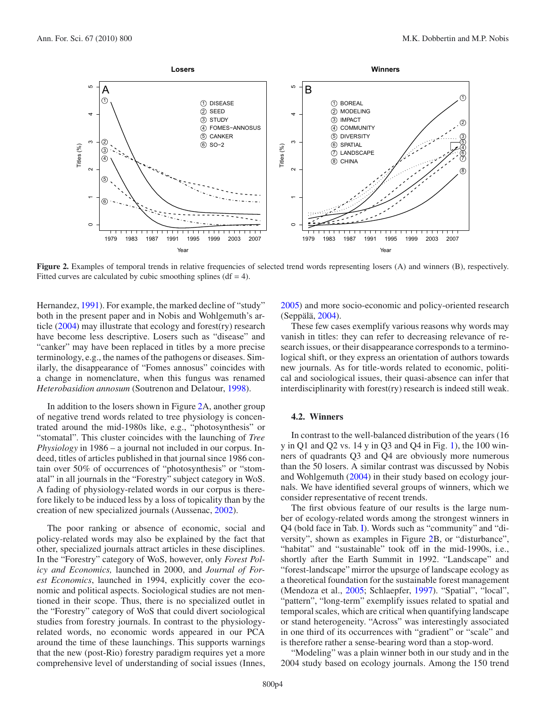<span id="page-3-0"></span>

**Figure 2.** Examples of temporal trends in relative frequencies of selected trend words representing losers (A) and winners (B), respectively. Fitted curves are calculated by cubic smoothing splines ( $df = 4$ ).

Hernandez, [1991\)](#page-6-3). For example, the marked decline of "study" both in the present paper and in Nobis and Wohlgemuth's article [\(2004\)](#page-6-1) may illustrate that ecology and forest(ry) research have become less descriptive. Losers such as "disease" and "canker" may have been replaced in titles by a more precise terminology, e.g., the names of the pathogens or diseases. Similarly, the disappearance of "Fomes annosus" coincides with a change in nomenclature, when this fungus was renamed *Heterobasidion annosum* (Soutrenon and Delatour, [1998\)](#page-6-4).

In addition to the losers shown in Figure [2A](#page-3-0), another group of negative trend words related to tree physiology is concentrated around the mid-1980s like, e.g., "photosynthesis" or "stomatal". This cluster coincides with the launching of *Tree Physiology* in 1986 – a journal not included in our corpus. Indeed, titles of articles published in that journal since 1986 contain over 50% of occurrences of "photosynthesis" or "stomatal" in all journals in the "Forestry" subject category in WoS. A fading of physiology-related words in our corpus is therefore likely to be induced less by a loss of topicality than by the creation of new specialized journals (Aussenac, [2002\)](#page-5-6).

The poor ranking or absence of economic, social and policy-related words may also be explained by the fact that other, specialized journals attract articles in these disciplines. In the "Forestry" category of WoS, however, only *Forest Policy and Economics,* launched in 2000, and *Journal of Forest Economics*, launched in 1994, explicitly cover the economic and political aspects. Sociological studies are not mentioned in their scope. Thus, there is no specialized outlet in the "Forestry" category of WoS that could divert sociological studies from forestry journals. In contrast to the physiologyrelated words, no economic words appeared in our PCA around the time of these launchings. This supports warnings that the new (post-Rio) forestry paradigm requires yet a more comprehensive level of understanding of social issues (Innes,

[2005\)](#page-5-4) and more socio-economic and policy-oriented research (Seppälä, [2004](#page-6-5)).

These few cases exemplify various reasons why words may vanish in titles: they can refer to decreasing relevance of research issues, or their disappearance corresponds to a terminological shift, or they express an orientation of authors towards new journals. As for title-words related to economic, political and sociological issues, their quasi-absence can infer that interdisciplinarity with forest(ry) research is indeed still weak.

#### **4.2. Winners**

In contrast to the well-balanced distribution of the years (16 y in Q1 and Q2 vs. 14 y in Q3 and Q4 in Fig. [1\)](#page-2-0), the 100 winners of quadrants Q3 and Q4 are obviously more numerous than the 50 losers. A similar contrast was discussed by Nobis and Wohlgemuth [\(2004\)](#page-6-1) in their study based on ecology journals. We have identified several groups of winners, which we consider representative of recent trends.

The first obvious feature of our results is the large number of ecology-related words among the strongest winners in Q4 (bold face in Tab. [I\)](#page-2-1). Words such as "community" and "diversity", shown as examples in Figure [2B](#page-3-0), or "disturbance", "habitat" and "sustainable" took off in the mid-1990s, i.e., shortly after the Earth Summit in 1992. "Landscape" and "forest-landscape" mirror the upsurge of landscape ecology as a theoretical foundation for the sustainable forest management (Mendoza et al., [2005;](#page-6-6) Schlaepfer, [1997\)](#page-6-7). "Spatial", "local", "pattern", "long-term" exemplify issues related to spatial and temporal scales, which are critical when quantifying landscape or stand heterogeneity. "Across" was interestingly associated in one third of its occurrences with "gradient" or "scale" and is therefore rather a sense-bearing word than a stop-word.

"Modeling" was a plain winner both in our study and in the 2004 study based on ecology journals. Among the 150 trend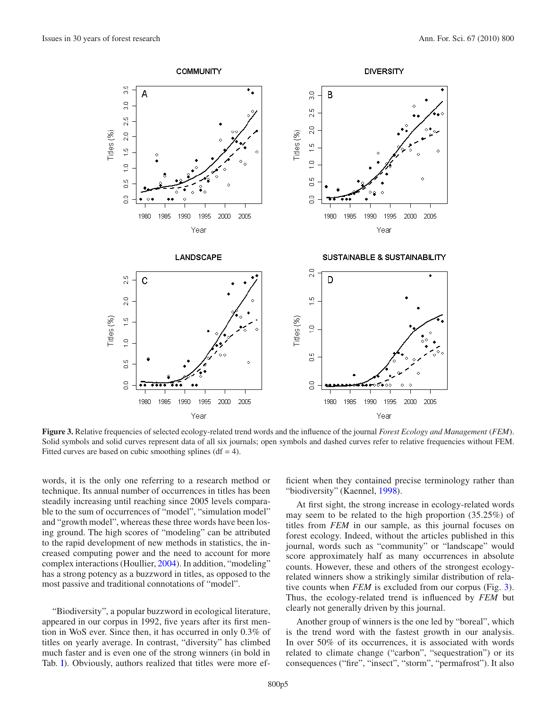

<span id="page-4-0"></span>**Figure 3.** Relative frequencies of selected ecology-related trend words and the influence of the journal *Forest Ecology and Management* (*FEM*). Solid symbols and solid curves represent data of all six journals; open symbols and dashed curves refer to relative frequencies without FEM. Fitted curves are based on cubic smoothing splines ( $df = 4$ ).

words, it is the only one referring to a research method or technique. Its annual number of occurrences in titles has been steadily increasing until reaching since 2005 levels comparable to the sum of occurrences of "model", "simulation model" and "growth model", whereas these three words have been losing ground. The high scores of "modeling" can be attributed to the rapid development of new methods in statistics, the increased computing power and the need to account for more complex interactions (Houllier, [2004\)](#page-5-7). In addition, "modeling" has a strong potency as a buzzword in titles, as opposed to the most passive and traditional connotations of "model".

"Biodiversity", a popular buzzword in ecological literature, appeared in our corpus in 1992, five years after its first mention in WoS ever. Since then, it has occurred in only 0.3% of titles on yearly average. In contrast, "diversity" has climbed much faster and is even one of the strong winners (in bold in Tab. [I\)](#page-2-1). Obviously, authors realized that titles were more efficient when they contained precise terminology rather than "biodiversity" (Kaennel, [1998\)](#page-6-8).

At first sight, the strong increase in ecology-related words may seem to be related to the high proportion (35.25%) of titles from *FEM* in our sample, as this journal focuses on forest ecology. Indeed, without the articles published in this journal, words such as "community" or "landscape" would score approximately half as many occurrences in absolute counts. However, these and others of the strongest ecologyrelated winners show a strikingly similar distribution of relative counts when *FEM* is excluded from our corpus (Fig. [3\)](#page-4-0). Thus, the ecology-related trend is influenced by *FEM* but clearly not generally driven by this journal.

Another group of winners is the one led by "boreal", which is the trend word with the fastest growth in our analysis. In over 50% of its occurrences, it is associated with words related to climate change ("carbon", "sequestration") or its consequences ("fire", "insect", "storm", "permafrost"). It also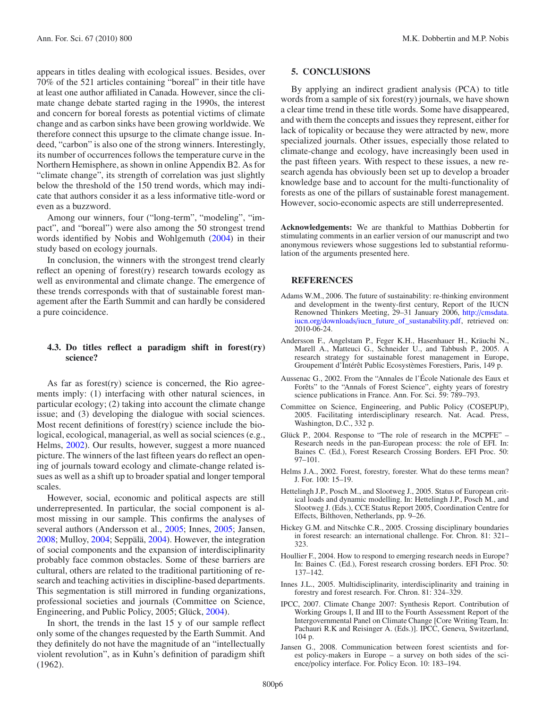appears in titles dealing with ecological issues. Besides, over 70% of the 521 articles containing "boreal" in their title have at least one author affiliated in Canada. However, since the climate change debate started raging in the 1990s, the interest and concern for boreal forests as potential victims of climate change and as carbon sinks have been growing worldwide. We therefore connect this upsurge to the climate change issue. Indeed, "carbon" is also one of the strong winners. Interestingly, its number of occurrences follows the temperature curve in the Northern Hemisphere, as shown in online Appendix B2. As for "climate change", its strength of correlation was just slightly below the threshold of the 150 trend words, which may indicate that authors consider it as a less informative title-word or even as a buzzword.

Among our winners, four ("long-term", "modeling", "impact", and "boreal") were also among the 50 strongest trend words identified by Nobis and Wohlgemuth [\(2004\)](#page-6-1) in their study based on ecology journals.

In conclusion, the winners with the strongest trend clearly reflect an opening of forest(ry) research towards ecology as well as environmental and climate change. The emergence of these trends corresponds with that of sustainable forest management after the Earth Summit and can hardly be considered a pure coincidence.

# **4.3. Do titles reflect a paradigm shift in forest(ry) science?**

As far as forest(ry) science is concerned, the Rio agreements imply: (1) interfacing with other natural sciences, in particular ecology; (2) taking into account the climate change issue; and (3) developing the dialogue with social sciences. Most recent definitions of forest(ry) science include the biological, ecological, managerial, as well as social sciences (e.g., Helms, [2002\)](#page-5-8). Our results, however, suggest a more nuanced picture. The winners of the last fifteen years do reflect an opening of journals toward ecology and climate-change related issues as well as a shift up to broader spatial and longer temporal scales.

However, social, economic and political aspects are still underrepresented. In particular, the social component is almost missing in our sample. This confirms the analyses of several authors (Andersson et al., [2005](#page-5-1); Innes, [2005;](#page-5-4) Jansen, [2008;](#page-5-9) Mulloy, [2004;](#page-6-9) Seppälä, [2004](#page-6-5)). However, the integration of social components and the expansion of interdisciplinarity probably face common obstacles. Some of these barriers are cultural, others are related to the traditional partitioning of research and teaching activities in discipline-based departments. This segmentation is still mirrored in funding organizations, professional societies and journals (Committee on Science, Engineering, and Public Policy, 2005; Glück, [2004\)](#page-5-2).

In short, the trends in the last 15 y of our sample reflect only some of the changes requested by the Earth Summit. And they definitely do not have the magnitude of an "intellectually violent revolution", as in Kuhn's definition of paradigm shift (1962).

#### **5. CONCLUSIONS**

By applying an indirect gradient analysis (PCA) to title words from a sample of six forest(ry) journals, we have shown a clear time trend in these title words. Some have disappeared, and with them the concepts and issues they represent, either for lack of topicality or because they were attracted by new, more specialized journals. Other issues, especially those related to climate-change and ecology, have increasingly been used in the past fifteen years. With respect to these issues, a new research agenda has obviously been set up to develop a broader knowledge base and to account for the multi-functionality of forests as one of the pillars of sustainable forest management. However, socio-economic aspects are still underrepresented.

**Acknowledgements:** We are thankful to Matthias Dobbertin for stimulating comments in an earlier version of our manuscript and two anonymous reviewers whose suggestions led to substantial reformulation of the arguments presented here.

# **REFERENCES**

- <span id="page-5-0"></span>Adams W.M., 2006. The future of sustainability: re-thinking environment and development in the twenty-first century, Report of the IUCN Renowned Thinkers Meeting, 29–31 January 2006, http://[cmsdata.](http://cmsdata.iucn.org/downloads/iucn_future_of_sustanability.pdf) iucn.org/downloads/[iucn\\_future\\_of\\_sustanability.pdf,](http://cmsdata.iucn.org/downloads/iucn_future_of_sustanability.pdf) retrieved on: 2010-06-24.
- <span id="page-5-1"></span>Andersson F., Angelstam P., Feger K.H., Hasenhauer H., Kräuchi N., Marell A., Matteuci G., Schneider U., and Tabbush P., 2005. A research strategy for sustainable forest management in Europe, Groupement d'Intérêt Public Ecosystèmes Forestiers, Paris, 149 p.
- <span id="page-5-6"></span>Aussenac G., 2002. From the "Annales de l'École Nationale des Eaux et Forêts" to the "Annals of Forest Science", eighty years of forestry science publications in France. Ann. For. Sci. 59: 789–793.
- Committee on Science, Engineering, and Public Policy (COSEPUP), 2005. Facilitating interdisciplinary research. Nat. Acad. Press, Washington, D.C., 332 p.
- <span id="page-5-2"></span>Glück P., 2004. Response to "The role of research in the MCPFE" – Research needs in the pan-European process: the role of EFI. In: Baines C. (Ed.), Forest Research Crossing Borders. EFI Proc. 50: 97–101.
- <span id="page-5-8"></span>Helms J.A., 2002. Forest, forestry, forester. What do these terms mean? J. For. 100: 15–19.
- <span id="page-5-5"></span>Hettelingh J.P., Posch M., and Slootweg J., 2005. Status of European critical loads and dynamic modelling. In: Hettelingh J.P., Posch M., and Slootweg J. (Eds.), CCE Status Report 2005, Coordination Centre for Effects, Bilthoven, Netherlands, pp. 9–26.
- <span id="page-5-3"></span>Hickey G.M. and Nitschke C.R., 2005. Crossing disciplinary boundaries in forest research: an international challenge. For. Chron. 81: 321– 323.
- <span id="page-5-7"></span>Houllier F., 2004. How to respond to emerging research needs in Europe? In: Baines C. (Ed.), Forest research crossing borders. EFI Proc. 50: 137–142.
- <span id="page-5-4"></span>Innes J.L., 2005. Multidisciplinarity, interdisciplinarity and training in forestry and forest research. For. Chron. 81: 324–329.
- IPCC, 2007. Climate Change 2007: Synthesis Report. Contribution of Working Groups I, II and III to the Fourth Assessment Report of the Intergovernmental Panel on Climate Change [Core Writing Team, In: Pachauri R.K and Reisinger A. (Eds.)]. IPCC, Geneva, Switzerland, 104 p.
- <span id="page-5-9"></span>Jansen G., 2008. Communication between forest scientists and forest policy-makers in Europe – a survey on both sides of the science/policy interface. For. Policy Econ. 10: 183–194.